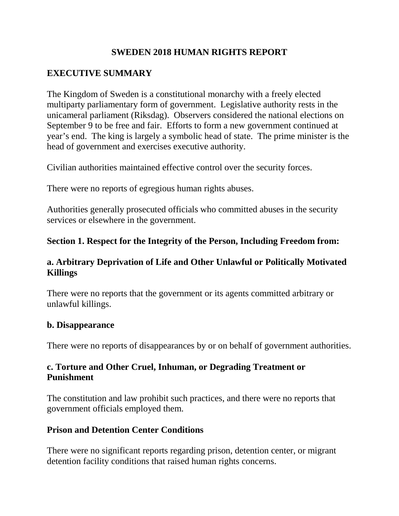## **SWEDEN 2018 HUMAN RIGHTS REPORT**

# **EXECUTIVE SUMMARY**

The Kingdom of Sweden is a constitutional monarchy with a freely elected multiparty parliamentary form of government. Legislative authority rests in the unicameral parliament (Riksdag). Observers considered the national elections on September 9 to be free and fair. Efforts to form a new government continued at year's end. The king is largely a symbolic head of state. The prime minister is the head of government and exercises executive authority.

Civilian authorities maintained effective control over the security forces.

There were no reports of egregious human rights abuses.

Authorities generally prosecuted officials who committed abuses in the security services or elsewhere in the government.

## **Section 1. Respect for the Integrity of the Person, Including Freedom from:**

## **a. Arbitrary Deprivation of Life and Other Unlawful or Politically Motivated Killings**

There were no reports that the government or its agents committed arbitrary or unlawful killings.

#### **b. Disappearance**

There were no reports of disappearances by or on behalf of government authorities.

## **c. Torture and Other Cruel, Inhuman, or Degrading Treatment or Punishment**

The constitution and law prohibit such practices, and there were no reports that government officials employed them.

#### **Prison and Detention Center Conditions**

There were no significant reports regarding prison, detention center, or migrant detention facility conditions that raised human rights concerns.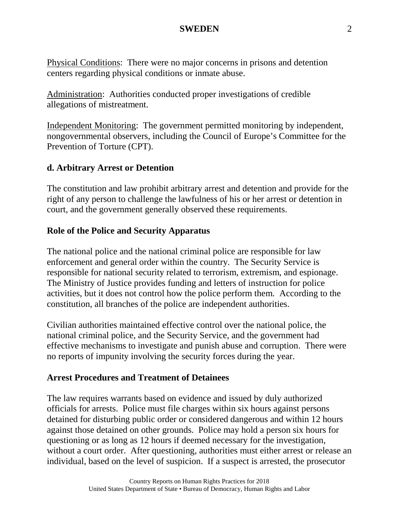Physical Conditions: There were no major concerns in prisons and detention centers regarding physical conditions or inmate abuse.

Administration: Authorities conducted proper investigations of credible allegations of mistreatment.

Independent Monitoring: The government permitted monitoring by independent, nongovernmental observers, including the Council of Europe's Committee for the Prevention of Torture (CPT).

## **d. Arbitrary Arrest or Detention**

The constitution and law prohibit arbitrary arrest and detention and provide for the right of any person to challenge the lawfulness of his or her arrest or detention in court, and the government generally observed these requirements.

### **Role of the Police and Security Apparatus**

The national police and the national criminal police are responsible for law enforcement and general order within the country. The Security Service is responsible for national security related to terrorism, extremism, and espionage. The Ministry of Justice provides funding and letters of instruction for police activities, but it does not control how the police perform them. According to the constitution, all branches of the police are independent authorities.

Civilian authorities maintained effective control over the national police, the national criminal police, and the Security Service, and the government had effective mechanisms to investigate and punish abuse and corruption. There were no reports of impunity involving the security forces during the year.

#### **Arrest Procedures and Treatment of Detainees**

The law requires warrants based on evidence and issued by duly authorized officials for arrests. Police must file charges within six hours against persons detained for disturbing public order or considered dangerous and within 12 hours against those detained on other grounds. Police may hold a person six hours for questioning or as long as 12 hours if deemed necessary for the investigation, without a court order. After questioning, authorities must either arrest or release an individual, based on the level of suspicion. If a suspect is arrested, the prosecutor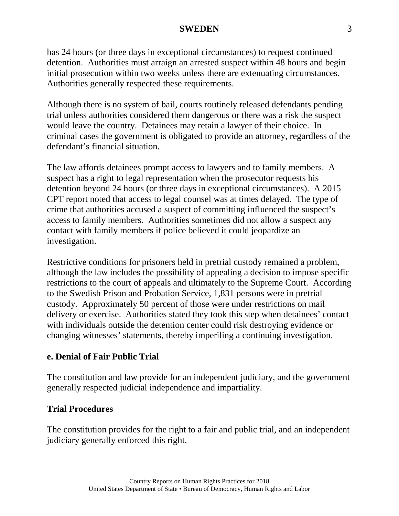has 24 hours (or three days in exceptional circumstances) to request continued detention. Authorities must arraign an arrested suspect within 48 hours and begin initial prosecution within two weeks unless there are extenuating circumstances. Authorities generally respected these requirements.

Although there is no system of bail, courts routinely released defendants pending trial unless authorities considered them dangerous or there was a risk the suspect would leave the country. Detainees may retain a lawyer of their choice. In criminal cases the government is obligated to provide an attorney, regardless of the defendant's financial situation.

The law affords detainees prompt access to lawyers and to family members. A suspect has a right to legal representation when the prosecutor requests his detention beyond 24 hours (or three days in exceptional circumstances). A 2015 CPT report noted that access to legal counsel was at times delayed. The type of crime that authorities accused a suspect of committing influenced the suspect's access to family members. Authorities sometimes did not allow a suspect any contact with family members if police believed it could jeopardize an investigation.

Restrictive conditions for prisoners held in pretrial custody remained a problem, although the law includes the possibility of appealing a decision to impose specific restrictions to the court of appeals and ultimately to the Supreme Court. According to the Swedish Prison and Probation Service, 1,831 persons were in pretrial custody. Approximately 50 percent of those were under restrictions on mail delivery or exercise. Authorities stated they took this step when detainees' contact with individuals outside the detention center could risk destroying evidence or changing witnesses' statements, thereby imperiling a continuing investigation.

## **e. Denial of Fair Public Trial**

The constitution and law provide for an independent judiciary, and the government generally respected judicial independence and impartiality.

#### **Trial Procedures**

The constitution provides for the right to a fair and public trial, and an independent judiciary generally enforced this right.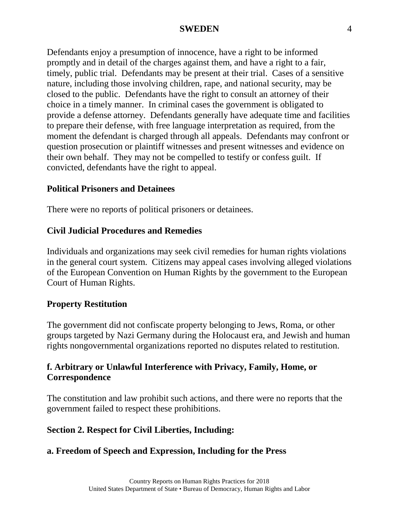Defendants enjoy a presumption of innocence, have a right to be informed promptly and in detail of the charges against them, and have a right to a fair, timely, public trial. Defendants may be present at their trial. Cases of a sensitive nature, including those involving children, rape, and national security, may be closed to the public. Defendants have the right to consult an attorney of their choice in a timely manner. In criminal cases the government is obligated to provide a defense attorney. Defendants generally have adequate time and facilities to prepare their defense, with free language interpretation as required, from the moment the defendant is charged through all appeals. Defendants may confront or question prosecution or plaintiff witnesses and present witnesses and evidence on their own behalf. They may not be compelled to testify or confess guilt. If convicted, defendants have the right to appeal.

#### **Political Prisoners and Detainees**

There were no reports of political prisoners or detainees.

## **Civil Judicial Procedures and Remedies**

Individuals and organizations may seek civil remedies for human rights violations in the general court system. Citizens may appeal cases involving alleged violations of the European Convention on Human Rights by the government to the European Court of Human Rights.

## **Property Restitution**

The government did not confiscate property belonging to Jews, Roma, or other groups targeted by Nazi Germany during the Holocaust era, and Jewish and human rights nongovernmental organizations reported no disputes related to restitution.

# **f. Arbitrary or Unlawful Interference with Privacy, Family, Home, or Correspondence**

The constitution and law prohibit such actions, and there were no reports that the government failed to respect these prohibitions.

## **Section 2. Respect for Civil Liberties, Including:**

## **a. Freedom of Speech and Expression, Including for the Press**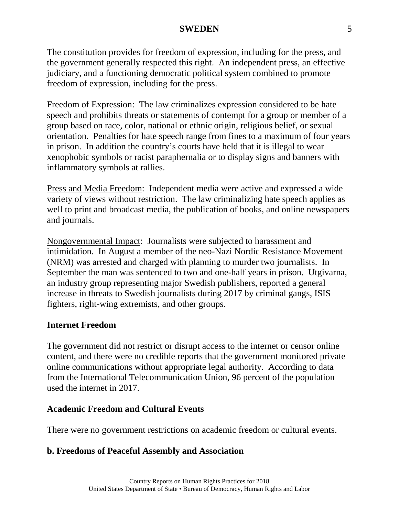The constitution provides for freedom of expression, including for the press, and the government generally respected this right. An independent press, an effective judiciary, and a functioning democratic political system combined to promote freedom of expression, including for the press.

Freedom of Expression: The law criminalizes expression considered to be hate speech and prohibits threats or statements of contempt for a group or member of a group based on race, color, national or ethnic origin, religious belief, or sexual orientation. Penalties for hate speech range from fines to a maximum of four years in prison. In addition the country's courts have held that it is illegal to wear xenophobic symbols or racist paraphernalia or to display signs and banners with inflammatory symbols at rallies.

Press and Media Freedom: Independent media were active and expressed a wide variety of views without restriction. The law criminalizing hate speech applies as well to print and broadcast media, the publication of books, and online newspapers and journals.

Nongovernmental Impact: Journalists were subjected to harassment and intimidation. In August a member of the neo-Nazi Nordic Resistance Movement (NRM) was arrested and charged with planning to murder two journalists. In September the man was sentenced to two and one-half years in prison. Utgivarna, an industry group representing major Swedish publishers, reported a general increase in threats to Swedish journalists during 2017 by criminal gangs, ISIS fighters, right-wing extremists, and other groups.

## **Internet Freedom**

The government did not restrict or disrupt access to the internet or censor online content, and there were no credible reports that the government monitored private online communications without appropriate legal authority. According to data from the International Telecommunication Union, 96 percent of the population used the internet in 2017.

## **Academic Freedom and Cultural Events**

There were no government restrictions on academic freedom or cultural events.

## **b. Freedoms of Peaceful Assembly and Association**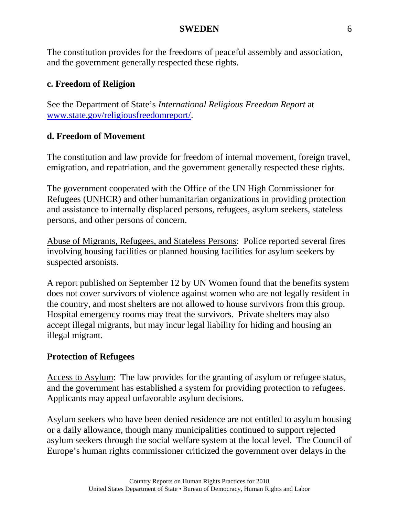The constitution provides for the freedoms of peaceful assembly and association, and the government generally respected these rights.

### **c. Freedom of Religion**

See the Department of State's *International Religious Freedom Report* at [www.state.gov/religiousfreedomreport/.](http://www.state.gov/religiousfreedomreport/)

#### **d. Freedom of Movement**

The constitution and law provide for freedom of internal movement, foreign travel, emigration, and repatriation, and the government generally respected these rights.

The government cooperated with the Office of the UN High Commissioner for Refugees (UNHCR) and other humanitarian organizations in providing protection and assistance to internally displaced persons, refugees, asylum seekers, stateless persons, and other persons of concern.

Abuse of Migrants, Refugees, and Stateless Persons: Police reported several fires involving housing facilities or planned housing facilities for asylum seekers by suspected arsonists.

A report published on September 12 by UN Women found that the benefits system does not cover survivors of violence against women who are not legally resident in the country, and most shelters are not allowed to house survivors from this group. Hospital emergency rooms may treat the survivors. Private shelters may also accept illegal migrants, but may incur legal liability for hiding and housing an illegal migrant.

#### **Protection of Refugees**

Access to Asylum: The law provides for the granting of asylum or refugee status, and the government has established a system for providing protection to refugees. Applicants may appeal unfavorable asylum decisions.

Asylum seekers who have been denied residence are not entitled to asylum housing or a daily allowance, though many municipalities continued to support rejected asylum seekers through the social welfare system at the local level. The Council of Europe's human rights commissioner criticized the government over delays in the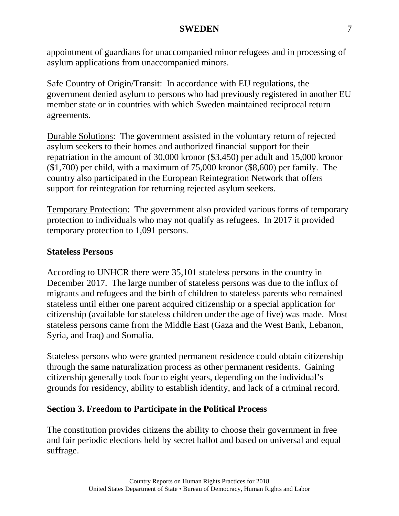appointment of guardians for unaccompanied minor refugees and in processing of asylum applications from unaccompanied minors.

Safe Country of Origin/Transit: In accordance with EU regulations, the government denied asylum to persons who had previously registered in another EU member state or in countries with which Sweden maintained reciprocal return agreements.

Durable Solutions: The government assisted in the voluntary return of rejected asylum seekers to their homes and authorized financial support for their repatriation in the amount of 30,000 kronor (\$3,450) per adult and 15,000 kronor (\$1,700) per child, with a maximum of 75,000 kronor (\$8,600) per family. The country also participated in the European Reintegration Network that offers support for reintegration for returning rejected asylum seekers.

Temporary Protection: The government also provided various forms of temporary protection to individuals who may not qualify as refugees. In 2017 it provided temporary protection to 1,091 persons.

## **Stateless Persons**

According to UNHCR there were 35,101 stateless persons in the country in December 2017. The large number of stateless persons was due to the influx of migrants and refugees and the birth of children to stateless parents who remained stateless until either one parent acquired citizenship or a special application for citizenship (available for stateless children under the age of five) was made. Most stateless persons came from the Middle East (Gaza and the West Bank, Lebanon, Syria, and Iraq) and Somalia.

Stateless persons who were granted permanent residence could obtain citizenship through the same naturalization process as other permanent residents. Gaining citizenship generally took four to eight years, depending on the individual's grounds for residency, ability to establish identity, and lack of a criminal record.

## **Section 3. Freedom to Participate in the Political Process**

The constitution provides citizens the ability to choose their government in free and fair periodic elections held by secret ballot and based on universal and equal suffrage.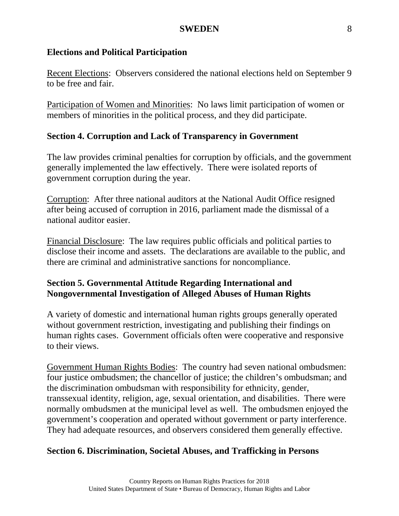#### **Elections and Political Participation**

Recent Elections: Observers considered the national elections held on September 9 to be free and fair.

Participation of Women and Minorities: No laws limit participation of women or members of minorities in the political process, and they did participate.

## **Section 4. Corruption and Lack of Transparency in Government**

The law provides criminal penalties for corruption by officials, and the government generally implemented the law effectively. There were isolated reports of government corruption during the year.

Corruption: After three national auditors at the National Audit Office resigned after being accused of corruption in 2016, parliament made the dismissal of a national auditor easier.

Financial Disclosure: The law requires public officials and political parties to disclose their income and assets. The declarations are available to the public, and there are criminal and administrative sanctions for noncompliance.

## **Section 5. Governmental Attitude Regarding International and Nongovernmental Investigation of Alleged Abuses of Human Rights**

A variety of domestic and international human rights groups generally operated without government restriction, investigating and publishing their findings on human rights cases. Government officials often were cooperative and responsive to their views.

Government Human Rights Bodies: The country had seven national ombudsmen: four justice ombudsmen; the chancellor of justice; the children's ombudsman; and the discrimination ombudsman with responsibility for ethnicity, gender, transsexual identity, religion, age, sexual orientation, and disabilities. There were normally ombudsmen at the municipal level as well. The ombudsmen enjoyed the government's cooperation and operated without government or party interference. They had adequate resources, and observers considered them generally effective.

## **Section 6. Discrimination, Societal Abuses, and Trafficking in Persons**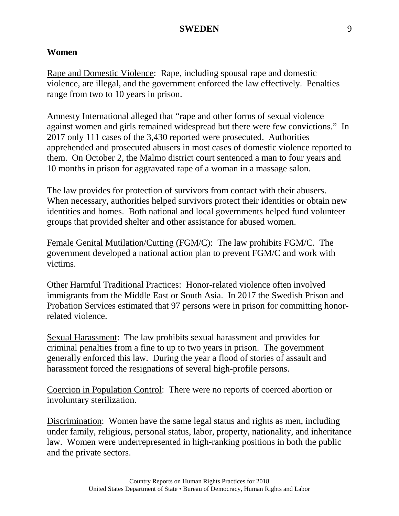#### **Women**

Rape and Domestic Violence: Rape, including spousal rape and domestic violence, are illegal, and the government enforced the law effectively. Penalties range from two to 10 years in prison.

Amnesty International alleged that "rape and other forms of sexual violence against women and girls remained widespread but there were few convictions." In 2017 only 111 cases of the 3,430 reported were prosecuted. Authorities apprehended and prosecuted abusers in most cases of domestic violence reported to them. On October 2, the Malmo district court sentenced a man to four years and 10 months in prison for aggravated rape of a woman in a massage salon.

The law provides for protection of survivors from contact with their abusers. When necessary, authorities helped survivors protect their identities or obtain new identities and homes. Both national and local governments helped fund volunteer groups that provided shelter and other assistance for abused women.

Female Genital Mutilation/Cutting (FGM/C): The law prohibits FGM/C. The government developed a national action plan to prevent FGM/C and work with victims.

Other Harmful Traditional Practices: Honor-related violence often involved immigrants from the Middle East or South Asia. In 2017 the Swedish Prison and Probation Services estimated that 97 persons were in prison for committing honorrelated violence.

Sexual Harassment: The law prohibits sexual harassment and provides for criminal penalties from a fine to up to two years in prison. The government generally enforced this law. During the year a flood of stories of assault and harassment forced the resignations of several high-profile persons.

Coercion in Population Control: There were no reports of coerced abortion or involuntary sterilization.

Discrimination: Women have the same legal status and rights as men, including under family, religious, personal status, labor, property, nationality, and inheritance law. Women were underrepresented in high-ranking positions in both the public and the private sectors.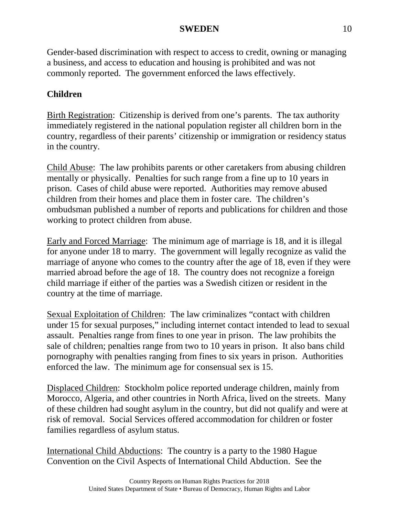Gender-based discrimination with respect to access to credit, owning or managing a business, and access to education and housing is prohibited and was not commonly reported. The government enforced the laws effectively.

# **Children**

Birth Registration: Citizenship is derived from one's parents. The tax authority immediately registered in the national population register all children born in the country, regardless of their parents' citizenship or immigration or residency status in the country.

Child Abuse: The law prohibits parents or other caretakers from abusing children mentally or physically. Penalties for such range from a fine up to 10 years in prison. Cases of child abuse were reported. Authorities may remove abused children from their homes and place them in foster care. The children's ombudsman published a number of reports and publications for children and those working to protect children from abuse.

Early and Forced Marriage: The minimum age of marriage is 18, and it is illegal for anyone under 18 to marry. The government will legally recognize as valid the marriage of anyone who comes to the country after the age of 18, even if they were married abroad before the age of 18. The country does not recognize a foreign child marriage if either of the parties was a Swedish citizen or resident in the country at the time of marriage.

Sexual Exploitation of Children: The law criminalizes "contact with children under 15 for sexual purposes," including internet contact intended to lead to sexual assault. Penalties range from fines to one year in prison. The law prohibits the sale of children; penalties range from two to 10 years in prison. It also bans child pornography with penalties ranging from fines to six years in prison. Authorities enforced the law. The minimum age for consensual sex is 15.

Displaced Children: Stockholm police reported underage children, mainly from Morocco, Algeria, and other countries in North Africa, lived on the streets. Many of these children had sought asylum in the country, but did not qualify and were at risk of removal. Social Services offered accommodation for children or foster families regardless of asylum status.

International Child Abductions: The country is a party to the 1980 Hague Convention on the Civil Aspects of International Child Abduction. See the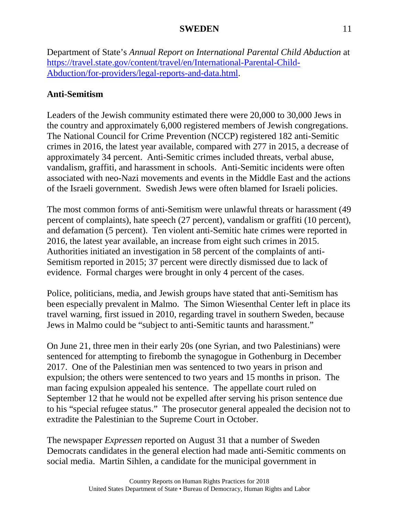Department of State's *Annual Report on International Parental Child Abduction* at [https://travel.state.gov/content/travel/en/International-Parental-Child-](https://travel.state.gov/content/travel/en/International-Parental-Child-Abduction/for-providers/legal-reports-and-data.html)[Abduction/for-providers/legal-reports-and-data.html.](https://travel.state.gov/content/travel/en/International-Parental-Child-Abduction/for-providers/legal-reports-and-data.html)

# **Anti-Semitism**

Leaders of the Jewish community estimated there were 20,000 to 30,000 Jews in the country and approximately 6,000 registered members of Jewish congregations. The National Council for Crime Prevention (NCCP) registered 182 anti-Semitic crimes in 2016, the latest year available, compared with 277 in 2015, a decrease of approximately 34 percent. Anti-Semitic crimes included threats, verbal abuse, vandalism, graffiti, and harassment in schools. Anti-Semitic incidents were often associated with neo-Nazi movements and events in the Middle East and the actions of the Israeli government. Swedish Jews were often blamed for Israeli policies.

The most common forms of anti-Semitism were unlawful threats or harassment (49 percent of complaints), hate speech (27 percent), vandalism or graffiti (10 percent), and defamation (5 percent). Ten violent anti-Semitic hate crimes were reported in 2016, the latest year available, an increase from eight such crimes in 2015. Authorities initiated an investigation in 58 percent of the complaints of anti-Semitism reported in 2015; 37 percent were directly dismissed due to lack of evidence. Formal charges were brought in only 4 percent of the cases.

Police, politicians, media, and Jewish groups have stated that anti-Semitism has been especially prevalent in Malmo. The Simon Wiesenthal Center left in place its travel warning, first issued in 2010, regarding travel in southern Sweden, because Jews in Malmo could be "subject to anti-Semitic taunts and harassment."

On June 21, three men in their early 20s (one Syrian, and two Palestinians) were sentenced for attempting to firebomb the synagogue in Gothenburg in December 2017. One of the Palestinian men was sentenced to two years in prison and expulsion; the others were sentenced to two years and 15 months in prison. The man facing expulsion appealed his sentence. The appellate court ruled on September 12 that he would not be expelled after serving his prison sentence due to his "special refugee status." The prosecutor general appealed the decision not to extradite the Palestinian to the Supreme Court in October.

The newspaper *Expressen* reported on August 31 that a number of Sweden Democrats candidates in the general election had made anti-Semitic comments on social media. Martin Sihlen, a candidate for the municipal government in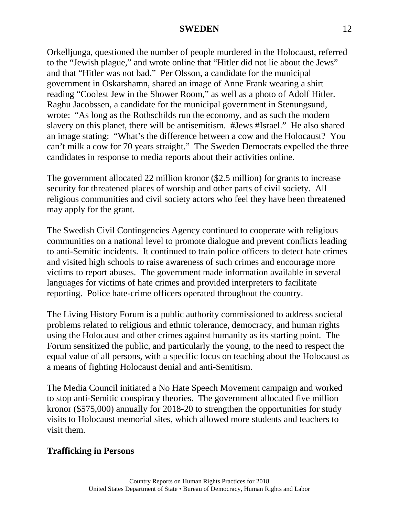Orkelljunga, questioned the number of people murdered in the Holocaust, referred to the "Jewish plague," and wrote online that "Hitler did not lie about the Jews" and that "Hitler was not bad." Per Olsson, a candidate for the municipal government in Oskarshamn, shared an image of Anne Frank wearing a shirt reading "Coolest Jew in the Shower Room," as well as a photo of Adolf Hitler. Raghu Jacobssen, a candidate for the municipal government in Stenungsund, wrote: "As long as the Rothschilds run the economy, and as such the modern slavery on this planet, there will be antisemitism. #Jews #Israel." He also shared an image stating: "What's the difference between a cow and the Holocaust? You can't milk a cow for 70 years straight." The Sweden Democrats expelled the three candidates in response to media reports about their activities online.

The government allocated 22 million kronor (\$2.5 million) for grants to increase security for threatened places of worship and other parts of civil society. All religious communities and civil society actors who feel they have been threatened may apply for the grant.

The Swedish Civil Contingencies Agency continued to cooperate with religious communities on a national level to promote dialogue and prevent conflicts leading to anti-Semitic incidents. It continued to train police officers to detect hate crimes and visited high schools to raise awareness of such crimes and encourage more victims to report abuses. The government made information available in several languages for victims of hate crimes and provided interpreters to facilitate reporting. Police hate-crime officers operated throughout the country.

The Living History Forum is a public authority commissioned to address societal problems related to religious and ethnic tolerance, democracy, and human rights using the Holocaust and other crimes against humanity as its starting point. The Forum sensitized the public, and particularly the young, to the need to respect the equal value of all persons, with a specific focus on teaching about the Holocaust as a means of fighting Holocaust denial and anti-Semitism.

The Media Council initiated a No Hate Speech Movement campaign and worked to stop anti-Semitic conspiracy theories. The government allocated five million kronor (\$575,000) annually for 2018-20 to strengthen the opportunities for study visits to Holocaust memorial sites, which allowed more students and teachers to visit them.

## **Trafficking in Persons**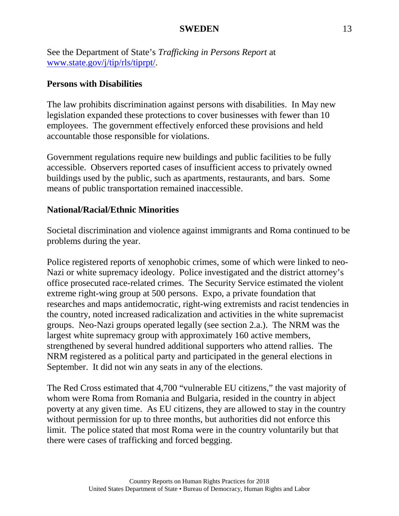See the Department of State's *Trafficking in Persons Report* at [www.state.gov/j/tip/rls/tiprpt/.](http://www.state.gov/j/tip/rls/tiprpt/)

#### **Persons with Disabilities**

The law prohibits discrimination against persons with disabilities. In May new legislation expanded these protections to cover businesses with fewer than 10 employees. The government effectively enforced these provisions and held accountable those responsible for violations.

Government regulations require new buildings and public facilities to be fully accessible. Observers reported cases of insufficient access to privately owned buildings used by the public, such as apartments, restaurants, and bars. Some means of public transportation remained inaccessible.

## **National/Racial/Ethnic Minorities**

Societal discrimination and violence against immigrants and Roma continued to be problems during the year.

Police registered reports of xenophobic crimes, some of which were linked to neo-Nazi or white supremacy ideology. Police investigated and the district attorney's office prosecuted race-related crimes. The Security Service estimated the violent extreme right-wing group at 500 persons. Expo, a private foundation that researches and maps antidemocratic, right-wing extremists and racist tendencies in the country, noted increased radicalization and activities in the white supremacist groups. Neo-Nazi groups operated legally (see section 2.a.). The NRM was the largest white supremacy group with approximately 160 active members, strengthened by several hundred additional supporters who attend rallies. The NRM registered as a political party and participated in the general elections in September. It did not win any seats in any of the elections.

The Red Cross estimated that 4,700 "vulnerable EU citizens," the vast majority of whom were Roma from Romania and Bulgaria, resided in the country in abject poverty at any given time. As EU citizens, they are allowed to stay in the country without permission for up to three months, but authorities did not enforce this limit. The police stated that most Roma were in the country voluntarily but that there were cases of trafficking and forced begging.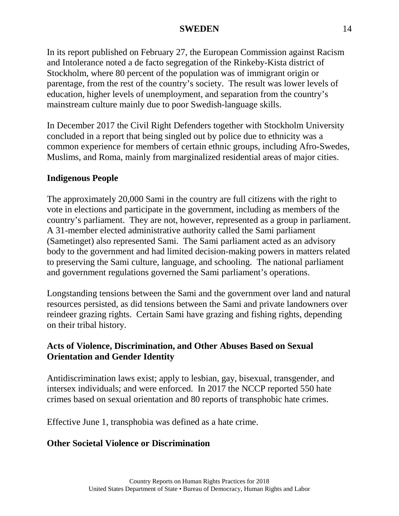In its report published on February 27, the European Commission against Racism and Intolerance noted a de facto segregation of the Rinkeby-Kista district of Stockholm, where 80 percent of the population was of immigrant origin or parentage, from the rest of the country's society. The result was lower levels of education, higher levels of unemployment, and separation from the country's mainstream culture mainly due to poor Swedish-language skills.

In December 2017 the Civil Right Defenders together with Stockholm University concluded in a report that being singled out by police due to ethnicity was a common experience for members of certain ethnic groups, including Afro-Swedes, Muslims, and Roma, mainly from marginalized residential areas of major cities.

## **Indigenous People**

The approximately 20,000 Sami in the country are full citizens with the right to vote in elections and participate in the government, including as members of the country's parliament. They are not, however, represented as a group in parliament. A 31-member elected administrative authority called the Sami parliament (Sametinget) also represented Sami. The Sami parliament acted as an advisory body to the government and had limited decision-making powers in matters related to preserving the Sami culture, language, and schooling. The national parliament and government regulations governed the Sami parliament's operations.

Longstanding tensions between the Sami and the government over land and natural resources persisted, as did tensions between the Sami and private landowners over reindeer grazing rights. Certain Sami have grazing and fishing rights, depending on their tribal history.

## **Acts of Violence, Discrimination, and Other Abuses Based on Sexual Orientation and Gender Identity**

Antidiscrimination laws exist; apply to lesbian, gay, bisexual, transgender, and intersex individuals; and were enforced. In 2017 the NCCP reported 550 hate crimes based on sexual orientation and 80 reports of transphobic hate crimes.

Effective June 1, transphobia was defined as a hate crime.

#### **Other Societal Violence or Discrimination**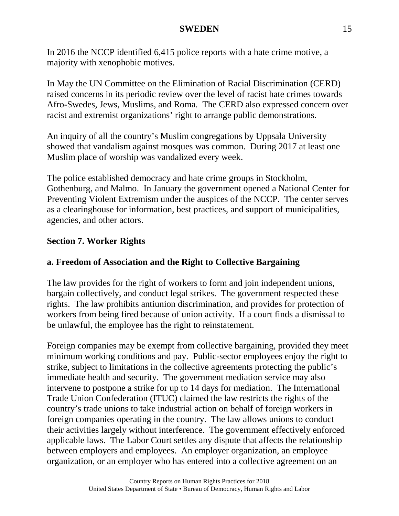In 2016 the NCCP identified 6,415 police reports with a hate crime motive, a majority with xenophobic motives.

In May the UN Committee on the Elimination of Racial Discrimination (CERD) raised concerns in its periodic review over the level of racist hate crimes towards Afro-Swedes, Jews, Muslims, and Roma. The CERD also expressed concern over racist and extremist organizations' right to arrange public demonstrations.

An inquiry of all the country's Muslim congregations by Uppsala University showed that vandalism against mosques was common. During 2017 at least one Muslim place of worship was vandalized every week.

The police established democracy and hate crime groups in Stockholm, Gothenburg, and Malmo. In January the government opened a National Center for Preventing Violent Extremism under the auspices of the NCCP. The center serves as a clearinghouse for information, best practices, and support of municipalities, agencies, and other actors.

### **Section 7. Worker Rights**

#### **a. Freedom of Association and the Right to Collective Bargaining**

The law provides for the right of workers to form and join independent unions, bargain collectively, and conduct legal strikes. The government respected these rights. The law prohibits antiunion discrimination, and provides for protection of workers from being fired because of union activity. If a court finds a dismissal to be unlawful, the employee has the right to reinstatement.

Foreign companies may be exempt from collective bargaining, provided they meet minimum working conditions and pay. Public-sector employees enjoy the right to strike, subject to limitations in the collective agreements protecting the public's immediate health and security. The government mediation service may also intervene to postpone a strike for up to 14 days for mediation. The International Trade Union Confederation (ITUC) claimed the law restricts the rights of the country's trade unions to take industrial action on behalf of foreign workers in foreign companies operating in the country. The law allows unions to conduct their activities largely without interference. The government effectively enforced applicable laws. The Labor Court settles any dispute that affects the relationship between employers and employees. An employer organization, an employee organization, or an employer who has entered into a collective agreement on an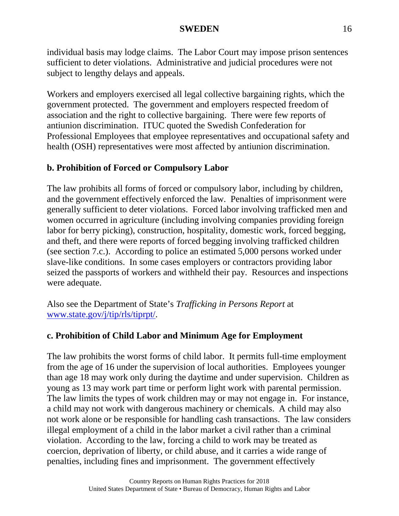individual basis may lodge claims. The Labor Court may impose prison sentences sufficient to deter violations. Administrative and judicial procedures were not subject to lengthy delays and appeals.

Workers and employers exercised all legal collective bargaining rights, which the government protected. The government and employers respected freedom of association and the right to collective bargaining. There were few reports of antiunion discrimination. ITUC quoted the Swedish Confederation for Professional Employees that employee representatives and occupational safety and health (OSH) representatives were most affected by antiunion discrimination.

# **b. Prohibition of Forced or Compulsory Labor**

The law prohibits all forms of forced or compulsory labor, including by children, and the government effectively enforced the law. Penalties of imprisonment were generally sufficient to deter violations. Forced labor involving trafficked men and women occurred in agriculture (including involving companies providing foreign labor for berry picking), construction, hospitality, domestic work, forced begging, and theft, and there were reports of forced begging involving trafficked children (see section 7.c.). According to police an estimated 5,000 persons worked under slave-like conditions. In some cases employers or contractors providing labor seized the passports of workers and withheld their pay. Resources and inspections were adequate.

Also see the Department of State's *Trafficking in Persons Report* at [www.state.gov/j/tip/rls/tiprpt/.](http://www.state.gov/j/tip/rls/tiprpt/)

# **c. Prohibition of Child Labor and Minimum Age for Employment**

The law prohibits the worst forms of child labor. It permits full-time employment from the age of 16 under the supervision of local authorities. Employees younger than age 18 may work only during the daytime and under supervision. Children as young as 13 may work part time or perform light work with parental permission. The law limits the types of work children may or may not engage in. For instance, a child may not work with dangerous machinery or chemicals. A child may also not work alone or be responsible for handling cash transactions. The law considers illegal employment of a child in the labor market a civil rather than a criminal violation. According to the law, forcing a child to work may be treated as coercion, deprivation of liberty, or child abuse, and it carries a wide range of penalties, including fines and imprisonment. The government effectively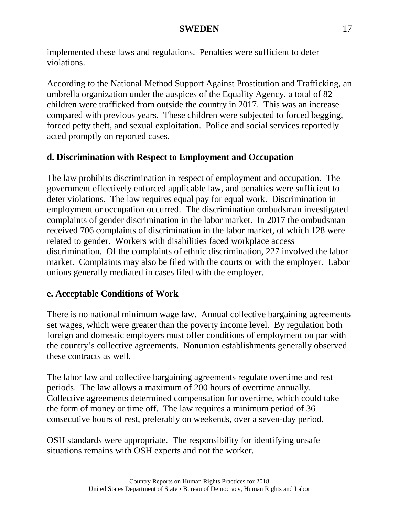implemented these laws and regulations. Penalties were sufficient to deter violations.

According to the National Method Support Against Prostitution and Trafficking, an umbrella organization under the auspices of the Equality Agency, a total of 82 children were trafficked from outside the country in 2017. This was an increase compared with previous years. These children were subjected to forced begging, forced petty theft, and sexual exploitation. Police and social services reportedly acted promptly on reported cases.

# **d. Discrimination with Respect to Employment and Occupation**

The law prohibits discrimination in respect of employment and occupation. The government effectively enforced applicable law, and penalties were sufficient to deter violations. The law requires equal pay for equal work. Discrimination in employment or occupation occurred. The discrimination ombudsman investigated complaints of gender discrimination in the labor market. In 2017 the ombudsman received 706 complaints of discrimination in the labor market, of which 128 were related to gender. Workers with disabilities faced workplace access discrimination. Of the complaints of ethnic discrimination, 227 involved the labor market. Complaints may also be filed with the courts or with the employer. Labor unions generally mediated in cases filed with the employer.

# **e. Acceptable Conditions of Work**

There is no national minimum wage law. Annual collective bargaining agreements set wages, which were greater than the poverty income level. By regulation both foreign and domestic employers must offer conditions of employment on par with the country's collective agreements. Nonunion establishments generally observed these contracts as well.

The labor law and collective bargaining agreements regulate overtime and rest periods. The law allows a maximum of 200 hours of overtime annually. Collective agreements determined compensation for overtime, which could take the form of money or time off. The law requires a minimum period of 36 consecutive hours of rest, preferably on weekends, over a seven-day period.

OSH standards were appropriate. The responsibility for identifying unsafe situations remains with OSH experts and not the worker.